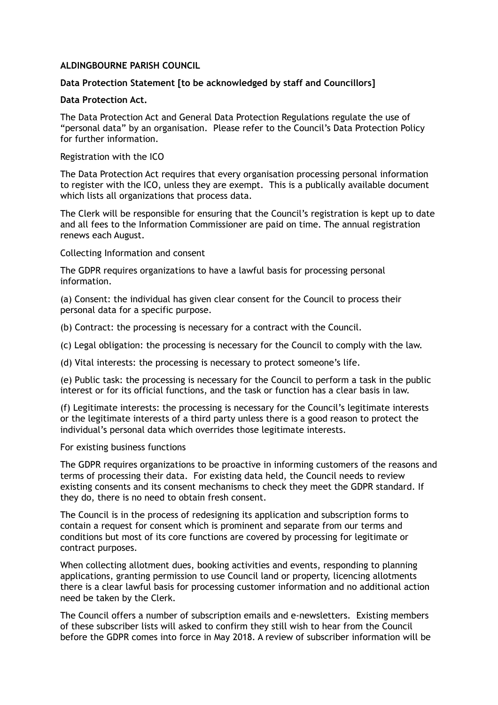# **ALDINGBOURNE PARISH COUNCIL**

# **Data Protection Statement [to be acknowledged by staff and Councillors]**

### **Data Protection Act.**

The Data Protection Act and General Data Protection Regulations regulate the use of "personal data" by an organisation. Please refer to the Council's Data Protection Policy for further information.

Registration with the ICO

The Data Protection Act requires that every organisation processing personal information to register with the ICO, unless they are exempt. This is a publically available document which lists all organizations that process data.

The Clerk will be responsible for ensuring that the Council's registration is kept up to date and all fees to the Information Commissioner are paid on time. The annual registration renews each August.

Collecting Information and consent

The GDPR requires organizations to have a lawful basis for processing personal information.

(a) Consent: the individual has given clear consent for the Council to process their personal data for a specific purpose.

(b) Contract: the processing is necessary for a contract with the Council.

(c) Legal obligation: the processing is necessary for the Council to comply with the law.

(d) Vital interests: the processing is necessary to protect someone's life.

(e) Public task: the processing is necessary for the Council to perform a task in the public interest or for its official functions, and the task or function has a clear basis in law.

(f) Legitimate interests: the processing is necessary for the Council's legitimate interests or the legitimate interests of a third party unless there is a good reason to protect the individual's personal data which overrides those legitimate interests.

#### For existing business functions

The GDPR requires organizations to be proactive in informing customers of the reasons and terms of processing their data. For existing data held, the Council needs to review existing consents and its consent mechanisms to check they meet the GDPR standard. If they do, there is no need to obtain fresh consent.

The Council is in the process of redesigning its application and subscription forms to contain a request for consent which is prominent and separate from our terms and conditions but most of its core functions are covered by processing for legitimate or contract purposes.

When collecting allotment dues, booking activities and events, responding to planning applications, granting permission to use Council land or property, licencing allotments there is a clear lawful basis for processing customer information and no additional action need be taken by the Clerk.

The Council offers a number of subscription emails and e-newsletters. Existing members of these subscriber lists will asked to confirm they still wish to hear from the Council before the GDPR comes into force in May 2018. A review of subscriber information will be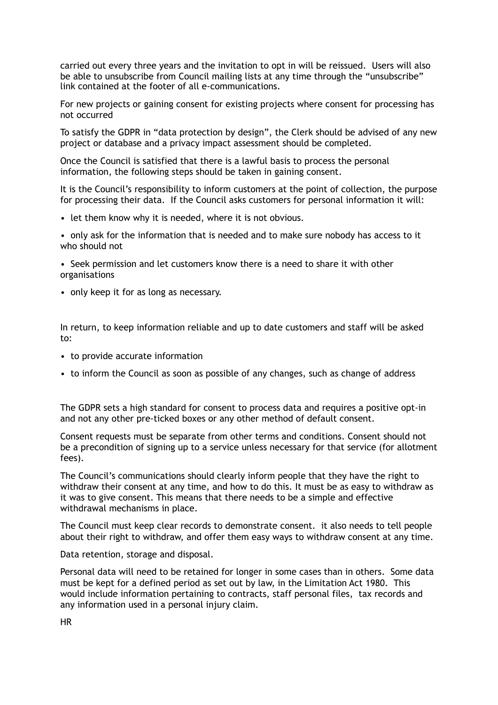carried out every three years and the invitation to opt in will be reissued. Users will also be able to unsubscribe from Council mailing lists at any time through the "unsubscribe" link contained at the footer of all e-communications.

For new projects or gaining consent for existing projects where consent for processing has not occurred

To satisfy the GDPR in "data protection by design", the Clerk should be advised of any new project or database and a privacy impact assessment should be completed.

Once the Council is satisfied that there is a lawful basis to process the personal information, the following steps should be taken in gaining consent.

It is the Council's responsibility to inform customers at the point of collection, the purpose for processing their data. If the Council asks customers for personal information it will:

• let them know why it is needed, where it is not obvious.

• only ask for the information that is needed and to make sure nobody has access to it who should not

• Seek permission and let customers know there is a need to share it with other organisations

• only keep it for as long as necessary.

In return, to keep information reliable and up to date customers and staff will be asked to:

- to provide accurate information
- to inform the Council as soon as possible of any changes, such as change of address

The GDPR sets a high standard for consent to process data and requires a positive opt-in and not any other pre-ticked boxes or any other method of default consent.

Consent requests must be separate from other terms and conditions. Consent should not be a precondition of signing up to a service unless necessary for that service (for allotment fees).

The Council's communications should clearly inform people that they have the right to withdraw their consent at any time, and how to do this. It must be as easy to withdraw as it was to give consent. This means that there needs to be a simple and effective withdrawal mechanisms in place.

The Council must keep clear records to demonstrate consent. it also needs to tell people about their right to withdraw, and offer them easy ways to withdraw consent at any time.

Data retention, storage and disposal.

Personal data will need to be retained for longer in some cases than in others. Some data must be kept for a defined period as set out by law, in the Limitation Act 1980. This would include information pertaining to contracts, staff personal files, tax records and any information used in a personal injury claim.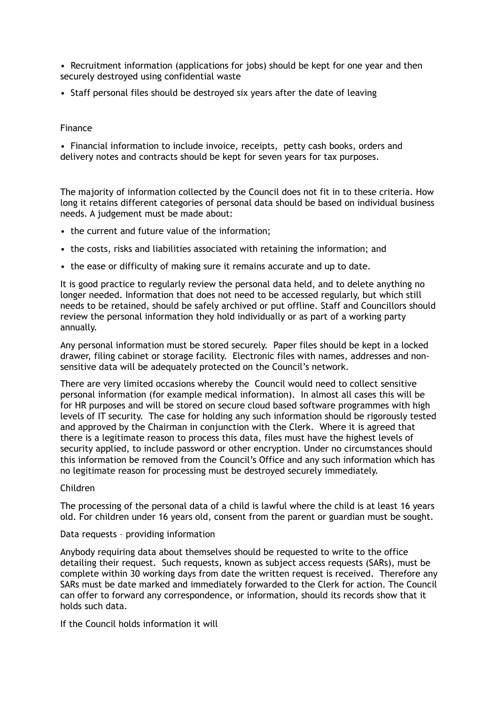• Recruitment information (applications for jobs) should be kept for one year and then securely destroyed using confidential waste

• Staff personal files should be destroyed six years after the date of leaving

# Finance

• Financial information to include invoice, receipts, petty cash books, orders and delivery notes and contracts should be kept for seven years for tax purposes.

The majority of information collected by the Council does not fit in to these criteria. How long it retains different categories of personal data should be based on individual business needs. A judgement must be made about:

- the current and future value of the information;
- the costs, risks and liabilities associated with retaining the information; and
- the ease or difficulty of making sure it remains accurate and up to date.

It is good practice to regularly review the personal data held, and to delete anything no longer needed. Information that does not need to be accessed regularly, but which still needs to be retained, should be safely archived or put offline. Staff and Councillors should review the personal information they hold individually or as part of a working party annually.

Any personal information must be stored securely. Paper files should be kept in a locked drawer, filing cabinet or storage facility. Electronic files with names, addresses and nonsensitive data will be adequately protected on the Council's network.

There are very limited occasions whereby the Council would need to collect sensitive personal information (for example medical information). In almost all cases this will be for HR purposes and will be stored on secure cloud based software programmes with high levels of IT security. The case for holding any such information should be rigorously tested and approved by the Chairman in conjunction with the Clerk. Where it is agreed that there is a legitimate reason to process this data, files must have the highest levels of security applied, to include password or other encryption. Under no circumstances should this information be removed from the Council's Office and any such information which has no legitimate reason for processing must be destroyed securely immediately.

#### Children

The processing of the personal data of a child is lawful where the child is at least 16 years old. For children under 16 years old, consent from the parent or guardian must be sought.

#### Data requests – providing information

Anybody requiring data about themselves should be requested to write to the office detailing their request. Such requests, known as subject access requests (SARs), must be complete within 30 working days from date the written request is received. Therefore any SARs must be date marked and immediately forwarded to the Clerk for action. The Council can offer to forward any correspondence, or information, should its records show that it holds such data.

If the Council holds information it will